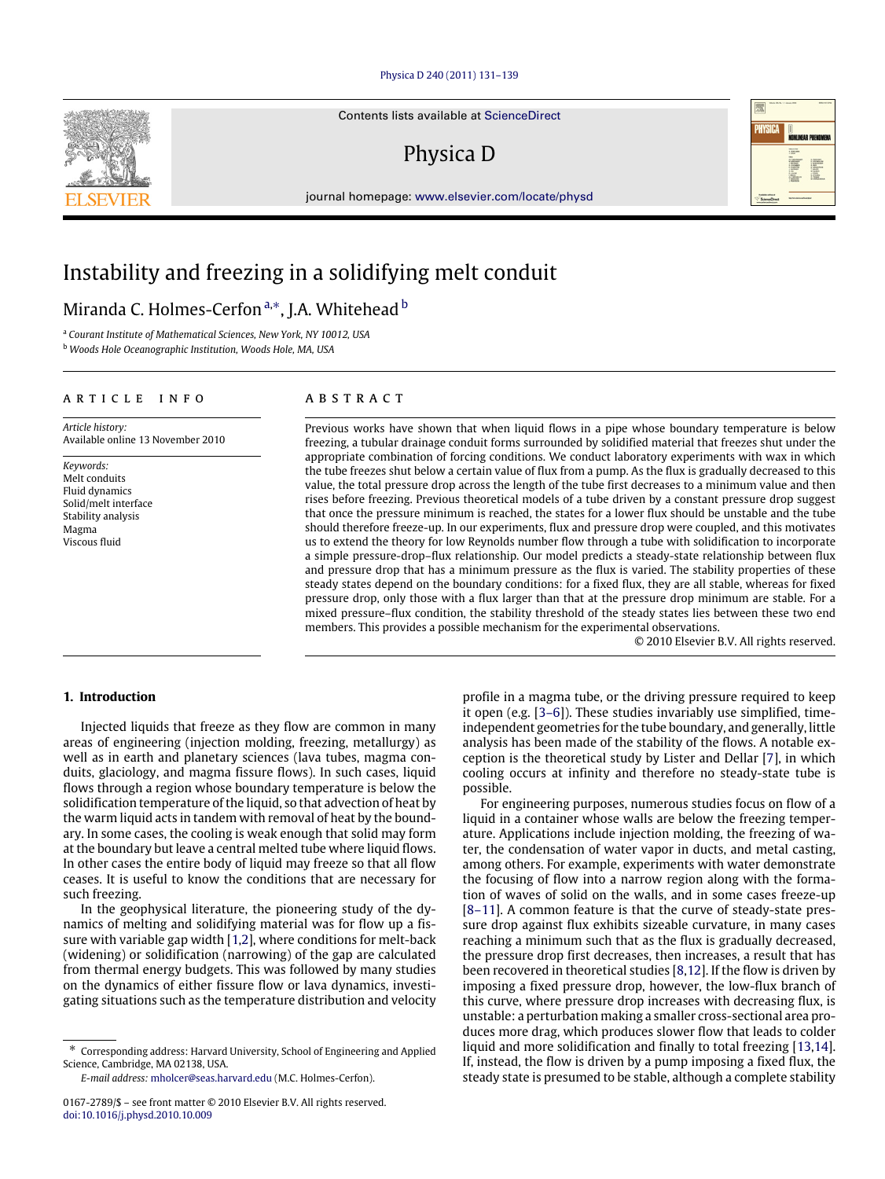#### [Physica D 240 \(2011\) 131–139](http://dx.doi.org/10.1016/j.physd.2010.10.009)

Contents lists available at [ScienceDirect](http://www.elsevier.com/locate/physd)

# Physica D

journal homepage: [www.elsevier.com/locate/physd](http://www.elsevier.com/locate/physd)



# Instability and freezing in a solidifying melt conduit

# Miranda C. Holmes-Cerfon <sup>[a,](#page-0-0)</sup>\*, J.A. Whitehead <sup>[b](#page-0-2)</sup>

<span id="page-0-0"></span><sup>a</sup> *Courant Institute of Mathematical Sciences, New York, NY 10012, USA*

<span id="page-0-2"></span><sup>b</sup> *Woods Hole Oceanographic Institution, Woods Hole, MA, USA*

#### ARTICLE INFO

*Article history:* Available online 13 November 2010

*Keywords:* Melt conduits Fluid dynamics Solid/melt interface Stability analysis Magma Viscous fluid

#### A R S T R A C T

Previous works have shown that when liquid flows in a pipe whose boundary temperature is below freezing, a tubular drainage conduit forms surrounded by solidified material that freezes shut under the appropriate combination of forcing conditions. We conduct laboratory experiments with wax in which the tube freezes shut below a certain value of flux from a pump. As the flux is gradually decreased to this value, the total pressure drop across the length of the tube first decreases to a minimum value and then rises before freezing. Previous theoretical models of a tube driven by a constant pressure drop suggest that once the pressure minimum is reached, the states for a lower flux should be unstable and the tube should therefore freeze-up. In our experiments, flux and pressure drop were coupled, and this motivates us to extend the theory for low Reynolds number flow through a tube with solidification to incorporate a simple pressure-drop–flux relationship. Our model predicts a steady-state relationship between flux and pressure drop that has a minimum pressure as the flux is varied. The stability properties of these steady states depend on the boundary conditions: for a fixed flux, they are all stable, whereas for fixed pressure drop, only those with a flux larger than that at the pressure drop minimum are stable. For a mixed pressure–flux condition, the stability threshold of the steady states lies between these two end members. This provides a possible mechanism for the experimental observations.

© 2010 Elsevier B.V. All rights reserved.

## **1. Introduction**

Injected liquids that freeze as they flow are common in many areas of engineering (injection molding, freezing, metallurgy) as well as in earth and planetary sciences (lava tubes, magma conduits, glaciology, and magma fissure flows). In such cases, liquid flows through a region whose boundary temperature is below the solidification temperature of the liquid, so that advection of heat by the warm liquid acts in tandem with removal of heat by the boundary. In some cases, the cooling is weak enough that solid may form at the boundary but leave a central melted tube where liquid flows. In other cases the entire body of liquid may freeze so that all flow ceases. It is useful to know the conditions that are necessary for such freezing.

In the geophysical literature, the pioneering study of the dynamics of melting and solidifying material was for flow up a fissure with variable gap width [\[1,](#page-8-0)[2\]](#page-8-1), where conditions for melt-back (widening) or solidification (narrowing) of the gap are calculated from thermal energy budgets. This was followed by many studies on the dynamics of either fissure flow or lava dynamics, investigating situations such as the temperature distribution and velocity

profile in a magma tube, or the driving pressure required to keep it open (e.g. [\[3–6\]](#page-8-2)). These studies invariably use simplified, timeindependent geometries for the tube boundary, and generally, little analysis has been made of the stability of the flows. A notable exception is the theoretical study by Lister and Dellar [\[7\]](#page-8-3), in which cooling occurs at infinity and therefore no steady-state tube is possible.

For engineering purposes, numerous studies focus on flow of a liquid in a container whose walls are below the freezing temperature. Applications include injection molding, the freezing of water, the condensation of water vapor in ducts, and metal casting, among others. For example, experiments with water demonstrate the focusing of flow into a narrow region along with the formation of waves of solid on the walls, and in some cases freeze-up [\[8–11\]](#page-8-4). A common feature is that the curve of steady-state pressure drop against flux exhibits sizeable curvature, in many cases reaching a minimum such that as the flux is gradually decreased, the pressure drop first decreases, then increases, a result that has been recovered in theoretical studies [\[8](#page-8-4)[,12\]](#page-8-5). If the flow is driven by imposing a fixed pressure drop, however, the low-flux branch of this curve, where pressure drop increases with decreasing flux, is unstable: a perturbation making a smaller cross-sectional area produces more drag, which produces slower flow that leads to colder liquid and more solidification and finally to total freezing [\[13](#page-8-6)[,14\]](#page-8-7). If, instead, the flow is driven by a pump imposing a fixed flux, the steady state is presumed to be stable, although a complete stability



<span id="page-0-1"></span><sup>∗</sup> Corresponding address: Harvard University, School of Engineering and Applied Science, Cambridge, MA 02138, USA.

*E-mail address:* [mholcer@seas.harvard.edu](mailto:mholcer@seas.harvard.edu) (M.C. Holmes-Cerfon).

<sup>0167-2789/\$ –</sup> see front matter © 2010 Elsevier B.V. All rights reserved. [doi:10.1016/j.physd.2010.10.009](http://dx.doi.org/10.1016/j.physd.2010.10.009)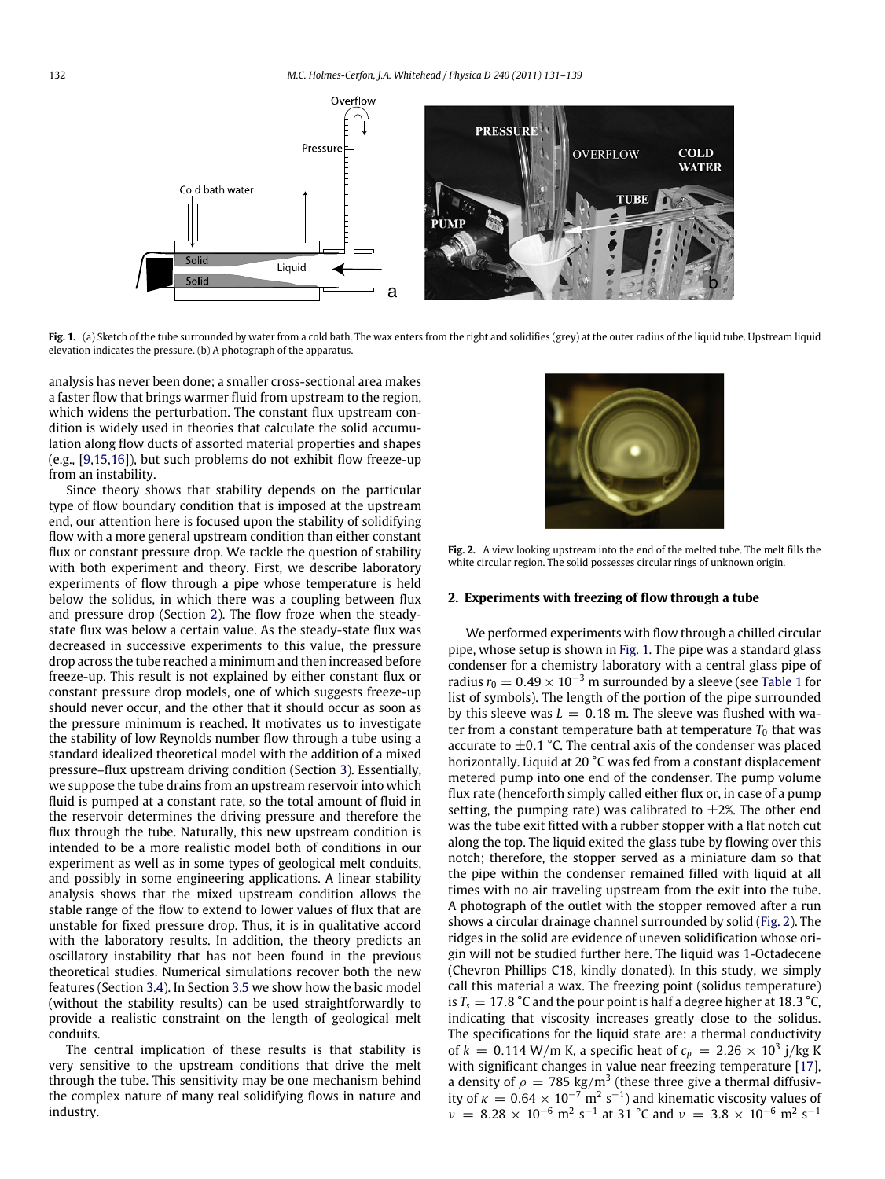<span id="page-1-1"></span>

**Fig. 1.** (a) Sketch of the tube surrounded by water from a cold bath. The wax enters from the right and solidifies (grey) at the outer radius of the liquid tube. Upstream liquid elevation indicates the pressure. (b) A photograph of the apparatus.

analysis has never been done; a smaller cross-sectional area makes a faster flow that brings warmer fluid from upstream to the region, which widens the perturbation. The constant flux upstream condition is widely used in theories that calculate the solid accumulation along flow ducts of assorted material properties and shapes (e.g., [\[9,](#page-8-8)[15](#page-8-9)[,16\]](#page-8-10)), but such problems do not exhibit flow freeze-up from an instability.

Since theory shows that stability depends on the particular type of flow boundary condition that is imposed at the upstream end, our attention here is focused upon the stability of solidifying flow with a more general upstream condition than either constant flux or constant pressure drop. We tackle the question of stability with both experiment and theory. First, we describe laboratory experiments of flow through a pipe whose temperature is held below the solidus, in which there was a coupling between flux and pressure drop (Section [2\)](#page-1-0). The flow froze when the steadystate flux was below a certain value. As the steady-state flux was decreased in successive experiments to this value, the pressure drop across the tube reached a minimum and then increased before freeze-up. This result is not explained by either constant flux or constant pressure drop models, one of which suggests freeze-up should never occur, and the other that it should occur as soon as the pressure minimum is reached. It motivates us to investigate the stability of low Reynolds number flow through a tube using a standard idealized theoretical model with the addition of a mixed pressure–flux upstream driving condition (Section [3\)](#page-3-0). Essentially, we suppose the tube drains from an upstream reservoir into which fluid is pumped at a constant rate, so the total amount of fluid in the reservoir determines the driving pressure and therefore the flux through the tube. Naturally, this new upstream condition is intended to be a more realistic model both of conditions in our experiment as well as in some types of geological melt conduits, and possibly in some engineering applications. A linear stability analysis shows that the mixed upstream condition allows the stable range of the flow to extend to lower values of flux that are unstable for fixed pressure drop. Thus, it is in qualitative accord with the laboratory results. In addition, the theory predicts an oscillatory instability that has not been found in the previous theoretical studies. Numerical simulations recover both the new features (Section [3.4\)](#page-7-0). In Section [3.5](#page-7-1) we show how the basic model (without the stability results) can be used straightforwardly to provide a realistic constraint on the length of geological melt conduits.

The central implication of these results is that stability is very sensitive to the upstream conditions that drive the melt through the tube. This sensitivity may be one mechanism behind the complex nature of many real solidifying flows in nature and industry.

<span id="page-1-2"></span>

**Fig. 2.** A view looking upstream into the end of the melted tube. The melt fills the white circular region. The solid possesses circular rings of unknown origin.

#### <span id="page-1-0"></span>**2. Experiments with freezing of flow through a tube**

We performed experiments with flow through a chilled circular pipe, whose setup is shown in [Fig. 1.](#page-1-1) The pipe was a standard glass condenser for a chemistry laboratory with a central glass pipe of radius  $r_0 = 0.49 \times 10^{-3}$  m surrounded by a sleeve (see [Table 1](#page-2-0) for list of symbols). The length of the portion of the pipe surrounded by this sleeve was  $L = 0.18$  m. The sleeve was flushed with water from a constant temperature bath at temperature  $T_0$  that was accurate to  $\pm$ 0.1 °C. The central axis of the condenser was placed horizontally. Liquid at 20 °C was fed from a constant displacement metered pump into one end of the condenser. The pump volume flux rate (henceforth simply called either flux or, in case of a pump setting, the pumping rate) was calibrated to  $\pm 2\%$ . The other end was the tube exit fitted with a rubber stopper with a flat notch cut along the top. The liquid exited the glass tube by flowing over this notch; therefore, the stopper served as a miniature dam so that the pipe within the condenser remained filled with liquid at all times with no air traveling upstream from the exit into the tube. A photograph of the outlet with the stopper removed after a run shows a circular drainage channel surrounded by solid [\(Fig. 2\)](#page-1-2). The ridges in the solid are evidence of uneven solidification whose origin will not be studied further here. The liquid was 1-Octadecene (Chevron Phillips C18, kindly donated). In this study, we simply call this material a wax. The freezing point (solidus temperature) is  $T_s = 17.8 \degree$ C and the pour point is half a degree higher at 18.3  $\degree$ C, indicating that viscosity increases greatly close to the solidus. The specifications for the liquid state are: a thermal conductivity of  $k = 0.114 \text{ W/m K}$ , a specific heat of  $c_p = 2.26 \times 10^3 \text{ j/kg K}$ with significant changes in value near freezing temperature [\[17\]](#page-8-11), a density of  $\rho = 785 \text{ kg/m}^3$  (these three give a thermal diffusivity of  $\kappa = 0.64 \times 10^{-7} \text{ m}^2 \text{ s}^{-1}$ ) and kinematic viscosity values of  $v = 8.28 \times 10^{-6} \text{ m}^2 \text{ s}^{-1}$  at 31 °C and  $v = 3.8 \times 10^{-6} \text{ m}^2 \text{ s}^{-1}$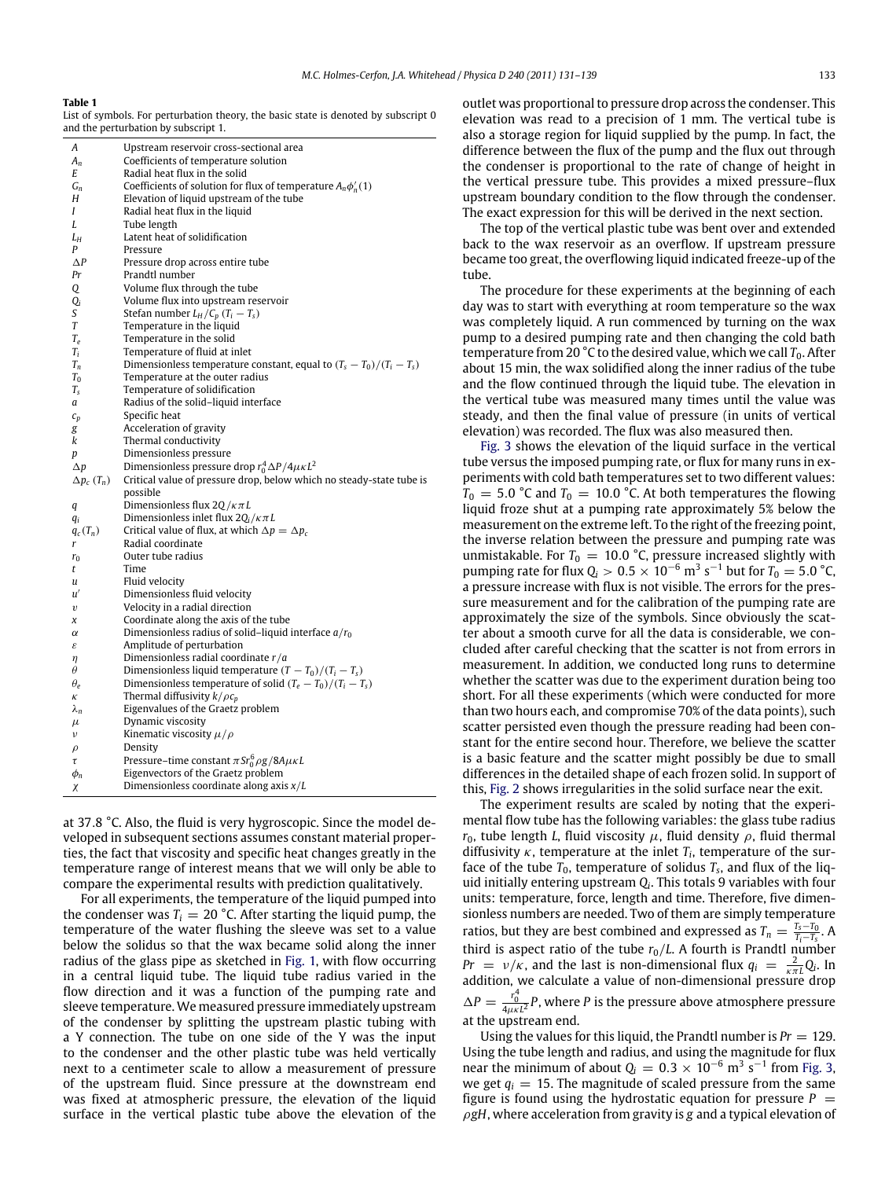<span id="page-2-0"></span>List of symbols. For perturbation theory, the basic state is denoted by subscript 0 and the perturbation by subscript 1.

| Α                 | Upstream reservoir cross-sectional area                                       |
|-------------------|-------------------------------------------------------------------------------|
| $A_n$             | Coefficients of temperature solution                                          |
| Е                 | Radial heat flux in the solid                                                 |
| $G_n$             | Coefficients of solution for flux of temperature $A_n \phi'_n(1)$             |
| Н                 | Elevation of liquid upstream of the tube                                      |
| Ι                 | Radial heat flux in the liquid                                                |
| L                 | Tube length                                                                   |
| Lн                | Latent heat of solidification                                                 |
| Ρ                 | Pressure                                                                      |
| $\Delta P$        | Pressure drop across entire tube                                              |
| Pr                | Prandtl number                                                                |
| Q                 | Volume flux through the tube                                                  |
| Q,                | Volume flux into upstream reservoir                                           |
| S                 | Stefan number $L_H/C_p$ ( $T_i - T_s$ )                                       |
| T                 | Temperature in the liquid                                                     |
| $T_e$             | Temperature in the solid                                                      |
| $T_i$             | Temperature of fluid at inlet                                                 |
| $T_n$             | Dimensionless temperature constant, equal to $(T_s - T_0)/(T_i - T_s)$        |
| $T_0$             | Temperature at the outer radius                                               |
| $T_{\rm s}$       | Temperature of solidification                                                 |
| a                 | Radius of the solid-liquid interface                                          |
| $c_p$             | Specific heat                                                                 |
| g                 | Acceleration of gravity                                                       |
| k                 | Thermal conductivity                                                          |
| р                 | Dimensionless pressure                                                        |
| $\Delta p$        | Dimensionless pressure drop $r_0^4 \Delta P / 4 \mu \kappa L^2$               |
| $\Delta p_c(T_n)$ | Critical value of pressure drop, below which no steady-state tube is          |
|                   | possible                                                                      |
| q                 | Dimensionless flux $2Q/\kappa \pi L$                                          |
| q,                | Dimensionless inlet flux $2Q_i/\kappa \pi L$                                  |
| $q_c(T_n)$<br>r   | Critical value of flux, at which $\Delta p = \Delta p_c$<br>Radial coordinate |
| $r_0$             | Outer tube radius                                                             |
| t                 | Time                                                                          |
| u                 | Fluid velocity                                                                |
| u'                | Dimensionless fluid velocity                                                  |
| υ                 | Velocity in a radial direction                                                |
| x                 | Coordinate along the axis of the tube                                         |
| α                 | Dimensionless radius of solid-liquid interface $a/r_0$                        |
| ε                 | Amplitude of perturbation                                                     |
| η                 | Dimensionless radial coordinate $r/a$                                         |
| $\theta$          | Dimensionless liquid temperature $(T - T_0)/(T_i - T_s)$                      |
| $\theta_e$        | Dimensionless temperature of solid $(T_e - T_0)/(T_i - T_s)$                  |
| к                 | Thermal diffusivity $k/\rho c_p$                                              |
| $\lambda_n$       | Eigenvalues of the Graetz problem                                             |
| $\mu$             | Dynamic viscosity                                                             |
| ν                 | Kinematic viscosity $\mu/\rho$                                                |
| $\rho$            | Density                                                                       |
| τ                 | Pressure-time constant $\pi S r_0^6 \rho g/8A\mu\kappa L$                     |
| $\phi_n$          | Eigenvectors of the Graetz problem                                            |
| χ                 | Dimensionless coordinate along axis $x/L$                                     |

at 37.8 °C. Also, the fluid is very hygroscopic. Since the model developed in subsequent sections assumes constant material properties, the fact that viscosity and specific heat changes greatly in the temperature range of interest means that we will only be able to compare the experimental results with prediction qualitatively.

For all experiments, the temperature of the liquid pumped into the condenser was  $T_i = 20$  °C. After starting the liquid pump, the temperature of the water flushing the sleeve was set to a value below the solidus so that the wax became solid along the inner radius of the glass pipe as sketched in [Fig. 1,](#page-1-1) with flow occurring in a central liquid tube. The liquid tube radius varied in the flow direction and it was a function of the pumping rate and sleeve temperature. We measured pressure immediately upstream of the condenser by splitting the upstream plastic tubing with a Y connection. The tube on one side of the Y was the input to the condenser and the other plastic tube was held vertically next to a centimeter scale to allow a measurement of pressure of the upstream fluid. Since pressure at the downstream end was fixed at atmospheric pressure, the elevation of the liquid surface in the vertical plastic tube above the elevation of the outlet was proportional to pressure drop across the condenser. This elevation was read to a precision of 1 mm. The vertical tube is also a storage region for liquid supplied by the pump. In fact, the difference between the flux of the pump and the flux out through the condenser is proportional to the rate of change of height in the vertical pressure tube. This provides a mixed pressure–flux upstream boundary condition to the flow through the condenser. The exact expression for this will be derived in the next section.

The top of the vertical plastic tube was bent over and extended back to the wax reservoir as an overflow. If upstream pressure became too great, the overflowing liquid indicated freeze-up of the tube.

The procedure for these experiments at the beginning of each day was to start with everything at room temperature so the wax was completely liquid. A run commenced by turning on the wax pump to a desired pumping rate and then changing the cold bath temperature from 20 °C to the desired value, which we call  $T_0$ . After about 15 min, the wax solidified along the inner radius of the tube and the flow continued through the liquid tube. The elevation in the vertical tube was measured many times until the value was steady, and then the final value of pressure (in units of vertical elevation) was recorded. The flux was also measured then.

[Fig. 3](#page-3-1) shows the elevation of the liquid surface in the vertical tube versus the imposed pumping rate, or flux for many runs in experiments with cold bath temperatures set to two different values:  $T_0 = 5.0$  °C and  $T_0 = 10.0$  °C. At both temperatures the flowing liquid froze shut at a pumping rate approximately 5% below the measurement on the extreme left. To the right of the freezing point, the inverse relation between the pressure and pumping rate was unmistakable. For  $T_0 = 10.0$  °C, pressure increased slightly with pumping rate for flux  $Q_i > 0.5 \times 10^{-6}$  m<sup>3</sup> s<sup>-1</sup> but for  $T_0 = 5.0$  °C, a pressure increase with flux is not visible. The errors for the pressure measurement and for the calibration of the pumping rate are approximately the size of the symbols. Since obviously the scatter about a smooth curve for all the data is considerable, we concluded after careful checking that the scatter is not from errors in measurement. In addition, we conducted long runs to determine whether the scatter was due to the experiment duration being too short. For all these experiments (which were conducted for more than two hours each, and compromise 70% of the data points), such scatter persisted even though the pressure reading had been constant for the entire second hour. Therefore, we believe the scatter is a basic feature and the scatter might possibly be due to small differences in the detailed shape of each frozen solid. In support of this, [Fig. 2](#page-1-2) shows irregularities in the solid surface near the exit.

The experiment results are scaled by noting that the experimental flow tube has the following variables: the glass tube radius  $r_0$ , tube length *L*, fluid viscosity  $\mu$ , fluid density  $\rho$ , fluid thermal diffusivity  $\kappa$ , temperature at the inlet  $T_i$ , temperature of the surface of the tube  $T_0$ , temperature of solidus  $T_s$ , and flux of the liquid initially entering upstream *Q<sup>i</sup>* . This totals 9 variables with four units: temperature, force, length and time. Therefore, five dimensionless numbers are needed. Two of them are simply temperature ratios, but they are best combined and expressed as  $T_n = \frac{T_s - T_0}{T_i - T_s}$ . third is aspect ratio of the tube  $r_0/L$ . A fourth is Prandtl number *Pr* =  $\nu/\kappa$ , and the last is non-dimensional flux  $q_i = \frac{2}{\kappa \pi L} Q_i$ . In addition, we calculate a value of non-dimensional pressure drop  $\Delta P = \frac{r_0^4}{4\mu\kappa L^2}P$ , where *P* is the pressure above atmosphere pressure at the upstream end.

Using the values for this liquid, the Prandtl number is  $Pr = 129$ . Using the tube length and radius, and using the magnitude for flux near the minimum of about  $Q_i = 0.3 \times 10^{-6}$  m<sup>3</sup> s<sup>-1</sup> from [Fig. 3,](#page-3-1) we get  $q_i = 15$ . The magnitude of scaled pressure from the same figure is found using the hydrostatic equation for pressure  $P =$ ρ*gH*, where acceleration from gravity is *g* and a typical elevation of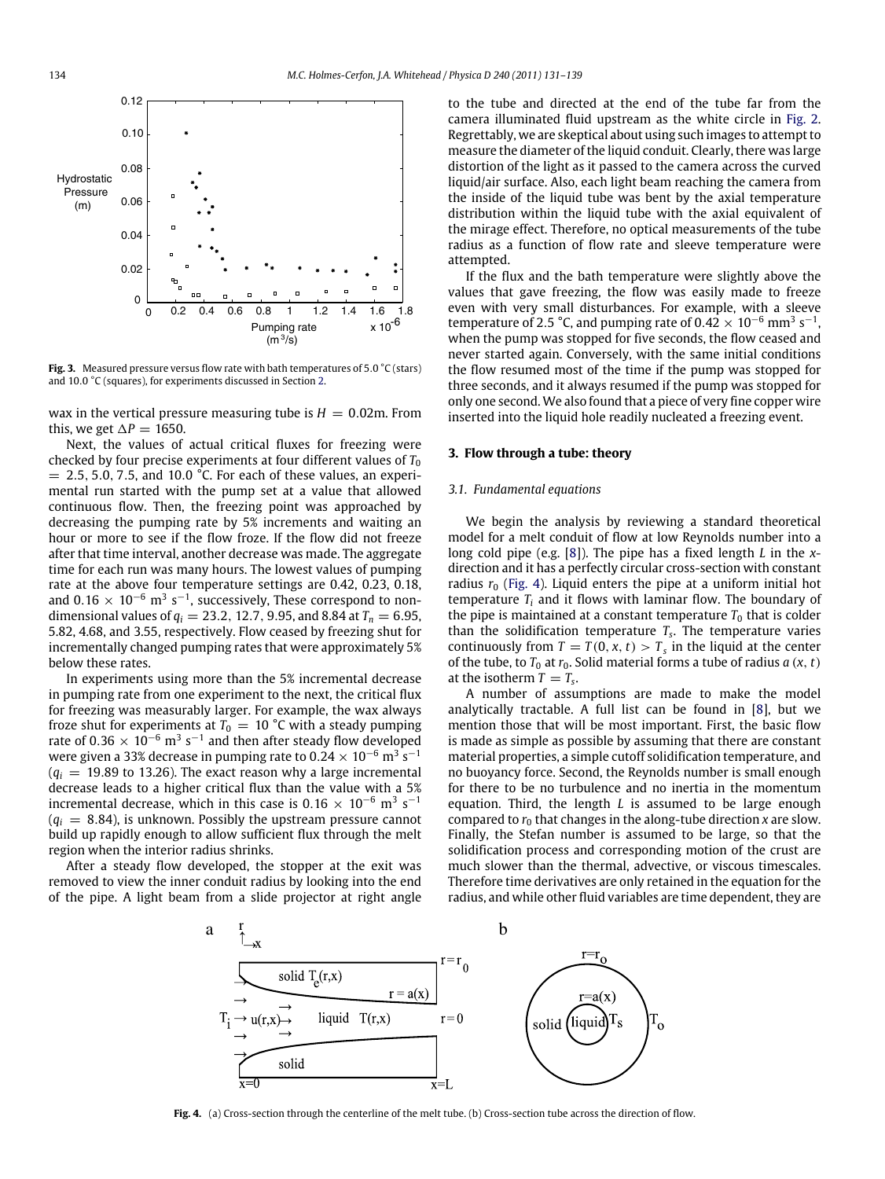<span id="page-3-1"></span>

Fig. 3. Measured pressure versus flow rate with bath temperatures of 5.0 °C (stars) and 10.0 °C (squares), for experiments discussed in Section [2.](#page-1-0)

wax in the vertical pressure measuring tube is  $H = 0.02$ m. From this, we get  $\Delta P = 1650$ .

Next, the values of actual critical fluxes for freezing were checked by four precise experiments at four different values of  $T_0$  $= 2.5, 5.0, 7.5,$  and 10.0 °C. For each of these values, an experimental run started with the pump set at a value that allowed continuous flow. Then, the freezing point was approached by decreasing the pumping rate by 5% increments and waiting an hour or more to see if the flow froze. If the flow did not freeze after that time interval, another decrease was made. The aggregate time for each run was many hours. The lowest values of pumping rate at the above four temperature settings are 0.42, 0.23, 0.18, and 0.16  $\times$  10<sup>-6</sup> m<sup>3</sup> s<sup>-1</sup>, successively, These correspond to nondimensional values of  $q_i = 23.2, 12.7, 9.95,$  and 8.84 at  $T_n = 6.95$ , 5.82, 4.68, and 3.55, respectively. Flow ceased by freezing shut for incrementally changed pumping rates that were approximately 5% below these rates.

In experiments using more than the 5% incremental decrease in pumping rate from one experiment to the next, the critical flux for freezing was measurably larger. For example, the wax always froze shut for experiments at  $T_0 = 10$  °C with a steady pumping rate of 0.36  $\times$  10<sup>-6</sup> m<sup>3</sup> s<sup>-1</sup> and then after steady flow developed were given a 33% decrease in pumping rate to 0.24  $\times$  10 $^{-6}$  m $^3$  s $^{-1}$  $(q_i = 19.89 \text{ to } 13.26)$ . The exact reason why a large incremental decrease leads to a higher critical flux than the value with a 5% incremental decrease, which in this case is 0.16  $\times$  10<sup>-6</sup> m<sup>3</sup> s<sup>-1</sup>  $(q_i = 8.84)$ , is unknown. Possibly the upstream pressure cannot build up rapidly enough to allow sufficient flux through the melt region when the interior radius shrinks.

<span id="page-3-2"></span>After a steady flow developed, the stopper at the exit was removed to view the inner conduit radius by looking into the end of the pipe. A light beam from a slide projector at right angle

to the tube and directed at the end of the tube far from the camera illuminated fluid upstream as the white circle in [Fig. 2.](#page-1-2) Regrettably, we are skeptical about using such images to attempt to measure the diameter of the liquid conduit. Clearly, there was large distortion of the light as it passed to the camera across the curved liquid/air surface. Also, each light beam reaching the camera from the inside of the liquid tube was bent by the axial temperature distribution within the liquid tube with the axial equivalent of the mirage effect. Therefore, no optical measurements of the tube radius as a function of flow rate and sleeve temperature were attempted.

If the flux and the bath temperature were slightly above the values that gave freezing, the flow was easily made to freeze even with very small disturbances. For example, with a sleeve temperature of 2.5 °C, and pumping rate of 0.42  $\times$  10<sup>-6</sup> mm<sup>3</sup> s<sup>-1</sup>, when the pump was stopped for five seconds, the flow ceased and never started again. Conversely, with the same initial conditions the flow resumed most of the time if the pump was stopped for three seconds, and it always resumed if the pump was stopped for only one second.We also found that a piece of very fine copper wire inserted into the liquid hole readily nucleated a freezing event.

#### <span id="page-3-0"></span>**3. Flow through a tube: theory**

#### *3.1. Fundamental equations*

We begin the analysis by reviewing a standard theoretical model for a melt conduit of flow at low Reynolds number into a long cold pipe (e.g. [\[8\]](#page-8-4)). The pipe has a fixed length *L* in the *x*direction and it has a perfectly circular cross-section with constant radius  $r_0$  [\(Fig. 4\)](#page-3-2). Liquid enters the pipe at a uniform initial hot temperature  $T_i$  and it flows with laminar flow. The boundary of the pipe is maintained at a constant temperature  $T_0$  that is colder than the solidification temperature *T<sup>s</sup>* . The temperature varies continuously from  $T = T(0, x, t) > T_s$  in the liquid at the center of the tube, to  $T_0$  at  $r_0$ . Solid material forms a tube of radius  $a(x, t)$ at the isotherm  $T = T_s$ .

A number of assumptions are made to make the model analytically tractable. A full list can be found in [\[8\]](#page-8-4), but we mention those that will be most important. First, the basic flow is made as simple as possible by assuming that there are constant material properties, a simple cutoff solidification temperature, and no buoyancy force. Second, the Reynolds number is small enough for there to be no turbulence and no inertia in the momentum equation. Third, the length *L* is assumed to be large enough compared to  $r_0$  that changes in the along-tube direction  $x$  are slow. Finally, the Stefan number is assumed to be large, so that the solidification process and corresponding motion of the crust are much slower than the thermal, advective, or viscous timescales. Therefore time derivatives are only retained in the equation for the radius, and while other fluid variables are time dependent, they are



**Fig. 4.** (a) Cross-section through the centerline of the melt tube. (b) Cross-section tube across the direction of flow.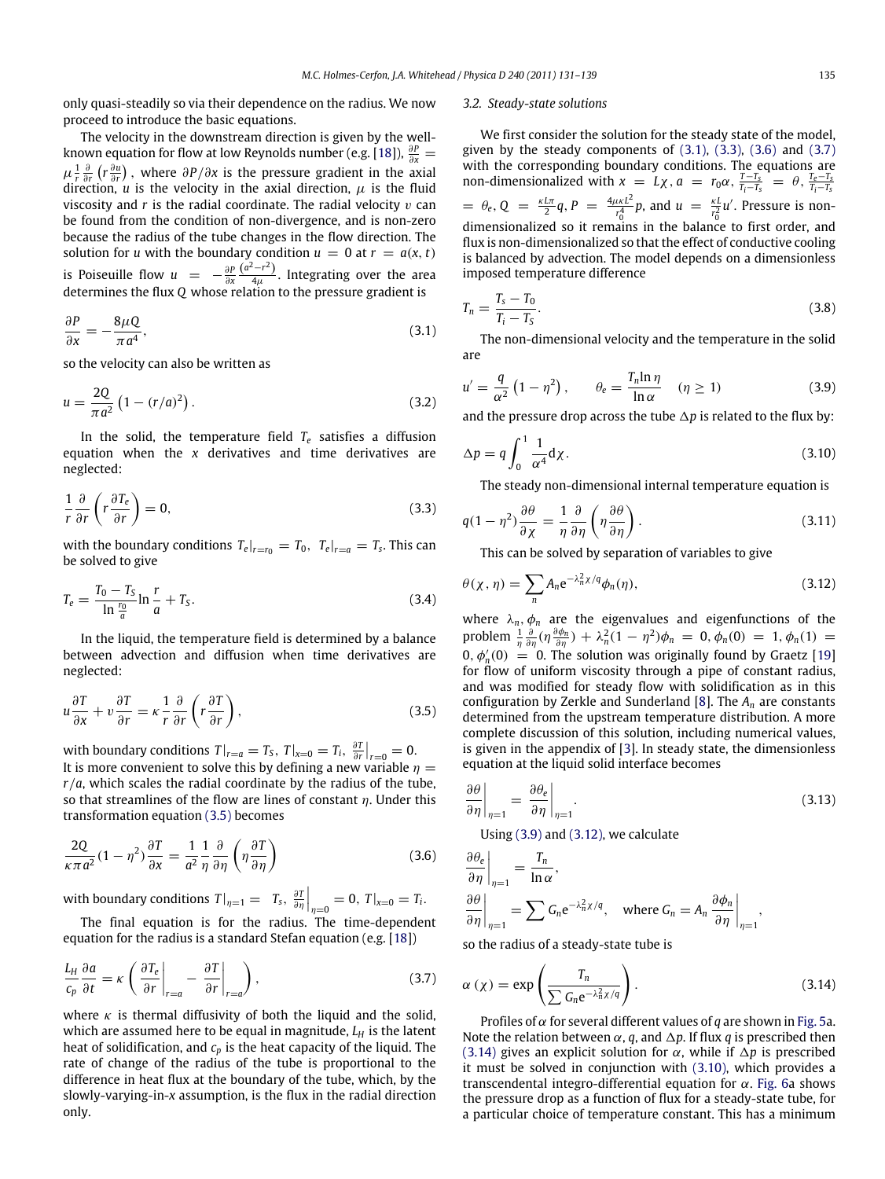only quasi-steadily so via their dependence on the radius. We now proceed to introduce the basic equations.

The velocity in the downstream direction is given by the well-known equation for flow at low Reynolds number (e.g. [\[18\]](#page-8-12)),  $\frac{\partial P}{\partial x}$  =  $\mu \frac{1}{r} \frac{\partial}{\partial r} \left( r \frac{\partial u}{\partial r} \right)$ , where  $\partial P / \partial x$  is the pressure gradient in the axial direction,  $\mu$  is the velocity in the axial direction,  $\mu$  is the fluid viscosity and *r* is the radial coordinate. The radial velocity v can be found from the condition of non-divergence, and is non-zero because the radius of the tube changes in the flow direction. The solution for *u* with the boundary condition  $u = 0$  at  $r = a(x, t)$ is Poiseuille flow  $u = -\frac{\partial P}{\partial x} \frac{(a^2 - r^2)}{4\mu}$ . Integrating over the area determines the flux *Q* whose relation to the pressure gradient is

$$
\frac{\partial P}{\partial x} = -\frac{8\mu Q}{\pi a^4},\tag{3.1}
$$

so the velocity can also be written as

$$
u = \frac{2Q}{\pi a^2} \left( 1 - (r/a)^2 \right). \tag{3.2}
$$

In the solid, the temperature field *T<sup>e</sup>* satisfies a diffusion equation when the *x* derivatives and time derivatives are neglected:

$$
\frac{1}{r}\frac{\partial}{\partial r}\left(r\frac{\partial T_e}{\partial r}\right) = 0,\tag{3.3}
$$

with the boundary conditions  $T_e|_{r=r_0} = T_0$ ,  $T_e|_{r=a} = T_s$ . This can be solved to give

$$
T_e = \frac{T_0 - T_S}{\ln \frac{r_0}{a}} \ln \frac{r}{a} + T_S. \tag{3.4}
$$

In the liquid, the temperature field is determined by a balance between advection and diffusion when time derivatives are neglected:

$$
u\frac{\partial T}{\partial x} + v\frac{\partial T}{\partial r} = \kappa \frac{1}{r}\frac{\partial}{\partial r}\left(r\frac{\partial T}{\partial r}\right),\tag{3.5}
$$

with boundary conditions  $T|_{r=a} = T_S$ ,  $T|_{x=0} = T_i$ ,  $\frac{\partial T}{\partial r}|_{r=0} = 0$ . It is more convenient to solve this by defining a new variable  $\eta =$  $r/a$ , which scales the radial coordinate by the radius of the tube, so that streamlines of the flow are lines of constant  $\eta$ . Under this transformation equation [\(3.5\)](#page-4-0) becomes

$$
\frac{2Q}{\kappa \pi a^2} (1 - \eta^2) \frac{\partial T}{\partial x} = \frac{1}{a^2} \frac{1}{\eta} \frac{\partial}{\partial \eta} \left( \eta \frac{\partial T}{\partial \eta} \right)
$$
(3.6)

with boundary conditions  $T|_{\eta=1} = T_s$ ,  $\frac{\partial T}{\partial \eta}\Big|_{\eta=0} = 0$ ,  $T|_{x=0} = T_i$ .

The final equation is for the radius. The time-dependent equation for the radius is a standard Stefan equation (e.g. [\[18\]](#page-8-12))

$$
\frac{L_H}{c_p} \frac{\partial a}{\partial t} = \kappa \left( \frac{\partial T_e}{\partial r} \bigg|_{r=a} - \frac{\partial T}{\partial r} \bigg|_{r=a} \right),\tag{3.7}
$$

where  $\kappa$  is thermal diffusivity of both the liquid and the solid, which are assumed here to be equal in magnitude,  $L_H$  is the latent heat of solidification, and *c<sup>p</sup>* is the heat capacity of the liquid. The rate of change of the radius of the tube is proportional to the difference in heat flux at the boundary of the tube, which, by the slowly-varying-in-*x* assumption, is the flux in the radial direction only.

#### *3.2. Steady-state solutions*

We first consider the solution for the steady state of the model, given by the steady components of  $(3.1)$ ,  $(3.3)$ ,  $(3.6)$  and  $(3.7)$ with the corresponding boundary conditions. The equations are<br>non-dimensionalized with  $x = L\chi$ ,  $a = r_0\alpha$ ,  $\frac{T-T_s}{T_i-T_s} = \theta$ ,  $\frac{T_e-T_s}{T_i-T_s}$  $= \theta_e, Q = \frac{\kappa L \pi}{2} q, P = \frac{4 \mu \kappa L^2}{r_o^4}$  $\frac{u \kappa L^2}{r_0^4} p$ , and  $u = \frac{\kappa L}{r_0^2}$  $rac{\kappa L}{r_0^2}$ *u'*. Pressure is nondimensionalized so it remains in the balance to first order, and flux is non-dimensionalized so that the effect of conductive cooling is balanced by advection. The model depends on a dimensionless imposed temperature difference

$$
T_n = \frac{T_s - T_0}{T_i - T_S}.
$$
\n
$$
(3.8)
$$

<span id="page-4-1"></span>The non-dimensional velocity and the temperature in the solid are

$$
u' = \frac{q}{\alpha^2} \left( 1 - \eta^2 \right), \qquad \theta_e = \frac{T_n \ln \eta}{\ln \alpha} \quad (\eta \ge 1)
$$
 (3.9)

and the pressure drop across the tube  $\Delta p$  is related to the flux by:

$$
\Delta p = q \int_0^1 \frac{1}{\alpha^4} \mathrm{d}\chi. \tag{3.10}
$$

<span id="page-4-8"></span><span id="page-4-5"></span>The steady non-dimensional internal temperature equation is

<span id="page-4-2"></span>
$$
q(1 - \eta^2) \frac{\partial \theta}{\partial \chi} = \frac{1}{\eta} \frac{\partial}{\partial \eta} \left( \eta \frac{\partial \theta}{\partial \eta} \right).
$$
 (3.11)

<span id="page-4-6"></span>This can be solved by separation of variables to give

$$
\theta(\chi,\eta) = \sum_{n} A_n e^{-\lambda_n^2 \chi/q} \phi_n(\eta),\tag{3.12}
$$

<span id="page-4-0"></span>where  $\lambda_n$ ,  $\phi_n$  are the eigenvalues and eigenfunctions of the problem  $\frac{1}{\eta} \frac{\partial}{\partial \eta} (\eta \frac{\partial \phi_n}{\partial \eta}) + \lambda_n^2 (1 - \eta^2) \phi_n = 0, \phi_n(0) = 1, \phi_n(1) =$  $0, \phi'_n(0) = 0$ . The solution was originally found by Graetz [\[19\]](#page-8-13) for flow of uniform viscosity through a pipe of constant radius, and was modified for steady flow with solidification as in this configuration by Zerkle and Sunderland [\[8\]](#page-8-4). The *A<sup>n</sup>* are constants determined from the upstream temperature distribution. A more complete discussion of this solution, including numerical values, is given in the appendix of [\[3\]](#page-8-2). In steady state, the dimensionless equation at the liquid solid interface becomes

$$
\left. \frac{\partial \theta}{\partial \eta} \right|_{\eta=1} = \left. \frac{\partial \theta_e}{\partial \eta} \right|_{\eta=1} . \tag{3.13}
$$

Using [\(3.9\)](#page-4-5) and [\(3.12\),](#page-4-6) we calculate

<span id="page-4-3"></span>
$$
\frac{\partial \theta_e}{\partial \eta}\Big|_{\eta=1} = \frac{T_n}{\ln \alpha},
$$
  

$$
\frac{\partial \theta}{\partial \eta}\Big|_{\eta=1} = \sum G_n e^{-\lambda_n^2 \chi/q}, \quad \text{where } G_n = A_n \frac{\partial \phi_n}{\partial \eta}\Big|_{\eta=1},
$$

so the radius of a steady-state tube is

<span id="page-4-7"></span><span id="page-4-4"></span>
$$
\alpha(\chi) = \exp\left(\frac{T_n}{\sum G_n e^{-\lambda_n^2 \chi/q}}\right).
$$
\n(3.14)

Profiles of  $\alpha$  for several different values of *q* are shown in [Fig. 5a](#page-5-0). Note the relation between  $\alpha$ , *q*, and  $\Delta p$ . If flux *q* is prescribed then [\(3.14\)](#page-4-7) gives an explicit solution for  $\alpha$ , while if  $\Delta p$  is prescribed it must be solved in conjunction with [\(3.10\),](#page-4-8) which provides a transcendental integro-differential equation for  $\alpha$ . [Fig. 6a](#page-5-1) shows the pressure drop as a function of flux for a steady-state tube, for a particular choice of temperature constant. This has a minimum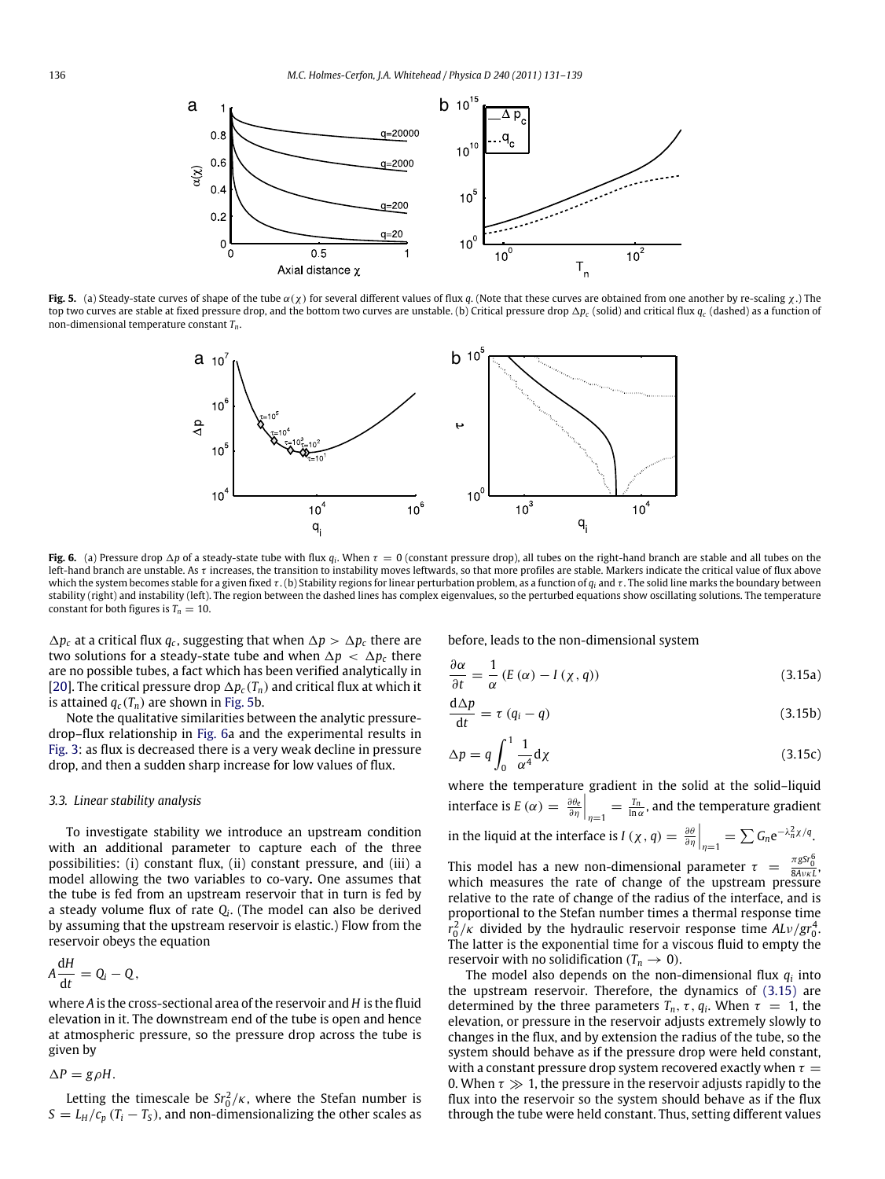<span id="page-5-0"></span>

<span id="page-5-1"></span>**Fig. 5.** (a) Steady-state curves of shape of the tube  $\alpha(\chi)$  for several different values of flux *q*. (Note that these curves are obtained from one another by re-scaling  $\chi$ .) The top two curves are stable at fixed pressure drop, and the bottom two curves are unstable. (b) Critical pressure drop  $\Delta p_c$  (solid) and critical flux  $q_c$  (dashed) as a function of non-dimensional temperature constant *Tn*.



**Fig. 6.** (a) Pressure drop  $\Delta p$  of a steady-state tube with flux  $q_i$ . When  $\tau = 0$  (constant pressure drop), all tubes on the right-hand branch are stable and all tubes on the left-hand branch are unstable. As τ increases, the transition to instability moves leftwards, so that more profiles are stable. Markers indicate the critical value of flux above which the system becomes stable for a given fixed τ. (b) Stability regions for linear perturbation problem, as a function of *q*<sub>i</sub> and τ. The solid line marks the boundary between stability (right) and instability (left). The region between the dashed lines has complex eigenvalues, so the perturbed equations show oscillating solutions. The temperature constant for both figures is  $T_n = 10$ .

 $\Delta p_c$  at a critical flux  $q_c$ , suggesting that when  $\Delta p > \Delta p_c$  there are two solutions for a steady-state tube and when  $\Delta p < \Delta p_c$  there are no possible tubes, a fact which has been verified analytically in [\[20\]](#page-8-14). The critical pressure drop  $\Delta p_c(T_n)$  and critical flux at which it is attained  $q_c(T_n)$  are shown in [Fig. 5b](#page-5-0).

Note the qualitative similarities between the analytic pressuredrop–flux relationship in [Fig. 6a](#page-5-1) and the experimental results in [Fig. 3:](#page-3-1) as flux is decreased there is a very weak decline in pressure drop, and then a sudden sharp increase for low values of flux.

### *3.3. Linear stability analysis*

To investigate stability we introduce an upstream condition with an additional parameter to capture each of the three possibilities: (i) constant flux, (ii) constant pressure, and (iii) a model allowing the two variables to co-vary**.** One assumes that the tube is fed from an upstream reservoir that in turn is fed by a steady volume flux of rate *Q<sup>i</sup>* . (The model can also be derived by assuming that the upstream reservoir is elastic.) Flow from the reservoir obeys the equation

$$
A\frac{\mathrm{d}H}{\mathrm{d}t}=Q_i-Q,
$$

where *A* is the cross-sectional area of the reservoir and *H* is the fluid elevation in it. The downstream end of the tube is open and hence at atmospheric pressure, so the pressure drop across the tube is given by

$$
\Delta P = g \rho H.
$$

Letting the timescale be  $Sr_0^2/\kappa$ , where the Stefan number is  $S = L_H / c_p (T_i - T_S)$ , and non-dimensionalizing the other scales as before, leads to the non-dimensional system

<span id="page-5-4"></span>
$$
\frac{\partial \alpha}{\partial t} = \frac{1}{\alpha} \left( E \left( \alpha \right) - I \left( \chi, q \right) \right) \tag{3.15a}
$$

<span id="page-5-3"></span><span id="page-5-2"></span>
$$
\frac{d\Delta p}{dt} = \tau (q_i - q) \tag{3.15b}
$$

$$
\Delta p = q \int_0^1 \frac{1}{\alpha^4} \mathrm{d}\chi \tag{3.15c}
$$

where the temperature gradient in the solid at the solid–liquid interface is  $E(\alpha) = \frac{\partial \theta_e}{\partial \eta}\Big|_{\eta=1} = \frac{T_n}{\ln \alpha}$ , and the temperature gradient in the liquid at the interface is *I* ( $\chi$ ,  $q$ ) =  $\frac{\partial \theta}{\partial \eta}\Big|_{\eta=1} = \sum G_n e^{-\lambda_n^2 \chi/q}$ .

This model has a new non-dimensional parameter  $\tau = \frac{\pi g S r_0^6}{8Av \kappa L}$ which measures the rate of change of the upstream pressure relative to the rate of change of the radius of the interface, and is proportional to the Stefan number times a thermal response time  $r_0^2/\kappa$  divided by the hydraulic reservoir response time  $A L \nu / g r_0^4$ . The latter is the exponential time for a viscous fluid to empty the reservoir with no solidification  $(T_n \to 0)$ .

The model also depends on the non-dimensional flux  $q_i$  into the upstream reservoir. Therefore, the dynamics of [\(3.15\)](#page-5-2) are determined by the three parameters  $T_n$ ,  $\tau$ ,  $q_i$ . When  $\tau = 1$ , the elevation, or pressure in the reservoir adjusts extremely slowly to changes in the flux, and by extension the radius of the tube, so the system should behave as if the pressure drop were held constant, with a constant pressure drop system recovered exactly when  $\tau =$ 0. When  $\tau \gg 1$ , the pressure in the reservoir adjusts rapidly to the flux into the reservoir so the system should behave as if the flux through the tube were held constant. Thus, setting different values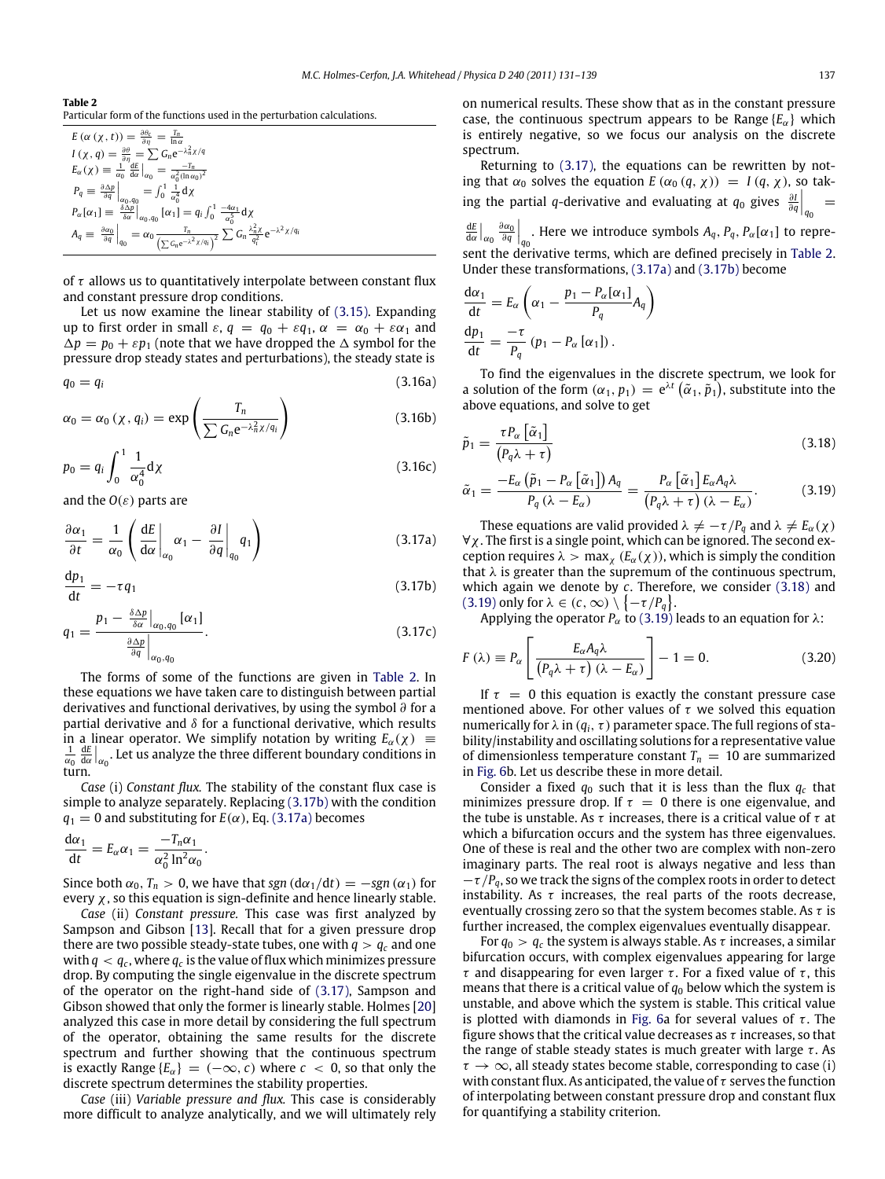### <span id="page-6-0"></span>**Table 2**

| Particular form of the functions used in the perturbation calculations. |  |  |  |
|-------------------------------------------------------------------------|--|--|--|
|-------------------------------------------------------------------------|--|--|--|

$$
E(\alpha(\chi, t)) = \frac{\partial \theta}{\partial \eta} = \frac{\Gamma_n}{\ln \alpha}
$$
  
\n
$$
I(\chi, q) = \frac{\partial \theta}{\partial \eta} = \sum G_n e^{-\lambda_n^2 \chi/q}
$$
  
\n
$$
E_\alpha(\chi) \equiv \frac{1}{\alpha_0} \frac{dE}{d\alpha} \Big|_{\alpha_0} = \frac{-T_n}{\alpha_0^2 (\ln \alpha_0)^2}
$$
  
\n
$$
P_q \equiv \frac{\partial \Delta p}{\partial q} \Big|_{\alpha_0, q_0} = \int_0^1 \frac{1}{\alpha_0^4} d\chi
$$
  
\n
$$
P_\alpha[\alpha_1] \equiv \frac{\delta \Delta p}{\delta \alpha} \Big|_{\alpha_0, q_0} [\alpha_1] = q_i \int_0^1 \frac{-4\alpha_1}{\alpha_0^5} d\chi
$$
  
\n
$$
A_q \equiv \frac{\partial \alpha_0}{\partial q} \Big|_{q_0} = \alpha_0 \frac{T_n}{\left(\sum G_n e^{-\lambda^2 \chi/q_i}\right)^2} \sum G_n \frac{\lambda_n^2 \chi}{q_i^2} e^{-\lambda^2 \chi/q_i}
$$

of  $\tau$  allows us to quantitatively interpolate between constant flux and constant pressure drop conditions.

Let us now examine the linear stability of [\(3.15\).](#page-5-2) Expanding up to first order in small  $\varepsilon$ ,  $q = q_0 + \varepsilon q_1$ ,  $\alpha = \alpha_0 + \varepsilon \alpha_1$  and  $\Delta p = p_0 + \varepsilon p_1$  (note that we have dropped the  $\Delta$  symbol for the pressure drop steady states and perturbations), the steady state is

$$
q_0 = q_i \tag{3.16a}
$$

$$
\alpha_0 = \alpha_0 \left( \chi, q_i \right) = \exp \left( \frac{T_n}{\sum G_n e^{-\lambda_n^2 \chi/q_i}} \right) \tag{3.16b}
$$

$$
p_0 = q_i \int_0^1 \frac{1}{\alpha_0^4} \mathrm{d}\chi \tag{3.16c}
$$

and the  $O(\varepsilon)$  parts are

<span id="page-6-3"></span>
$$
\frac{\partial \alpha_1}{\partial t} = \frac{1}{\alpha_0} \left( \left. \frac{dE}{d\alpha} \right|_{\alpha_0} \alpha_1 - \left. \frac{\partial I}{\partial q} \right|_{q_0} q_1 \right) \tag{3.17a}
$$

$$
\frac{\mathrm{d}p_1}{\mathrm{d}t} = -\tau q_1 \tag{3.17b}
$$

$$
q_1 = \frac{p_1 - \frac{\delta \Delta p}{\delta \alpha} \big|_{\alpha_0, q_0} [\alpha_1]}{\frac{\partial \Delta p}{\partial q} \big|_{\alpha_0, q_0}}.
$$
\n(3.17c)

The forms of some of the functions are given in [Table 2.](#page-6-0) In these equations we have taken care to distinguish between partial derivatives and functional derivatives, by using the symbol ∂ for a partial derivative and  $\delta$  for a functional derivative, which results in a linear operator. We simplify notation by writing  $E_\alpha(\chi) \equiv$  $\frac{1}{\alpha_0}\frac{\mathrm{d}E}{\mathrm{d}\alpha}\big|_{\alpha_0}$ . Let us analyze the three different boundary conditions in turn.

*Case* (i) *Constant flux.* The stability of the constant flux case is simple to analyze separately. Replacing [\(3.17b\)](#page-6-1) with the condition  $q_1 = 0$  and substituting for  $E(\alpha)$ , Eq. [\(3.17a\)](#page-6-2) becomes

$$
\frac{d\alpha_1}{dt} = E_{\alpha}\alpha_1 = \frac{-T_n\alpha_1}{\alpha_0^2 \ln^2 \alpha_0}.
$$

Since both  $\alpha_0$ ,  $T_n > 0$ , we have that *sgn* (d $\alpha_1/dt$ ) =  $-sgn(\alpha_1)$  for every  $\chi$ , so this equation is sign-definite and hence linearly stable.

*Case* (ii) *Constant pressure.* This case was first analyzed by Sampson and Gibson [\[13\]](#page-8-6). Recall that for a given pressure drop there are two possible steady-state tubes, one with  $q > q_c$  and one with  $q < q_c$ , where  $q_c$  is the value of flux which minimizes pressure drop. By computing the single eigenvalue in the discrete spectrum of the operator on the right-hand side of [\(3.17\),](#page-6-3) Sampson and Gibson showed that only the former is linearly stable. Holmes [\[20\]](#page-8-14) analyzed this case in more detail by considering the full spectrum of the operator, obtaining the same results for the discrete spectrum and further showing that the continuous spectrum is exactly Range  ${E_\alpha}$  = ( $-\infty$ , *c*) where  $c < 0$ , so that only the discrete spectrum determines the stability properties.

*Case* (iii) *Variable pressure and flux.* This case is considerably more difficult to analyze analytically, and we will ultimately rely on numerical results. These show that as in the constant pressure case, the continuous spectrum appears to be Range  ${E_\alpha}$  which is entirely negative, so we focus our analysis on the discrete spectrum.

Returning to [\(3.17\),](#page-6-3) the equations can be rewritten by noting that  $\alpha_0$  solves the equation  $E(\alpha_0(q, \chi)) = I(q, \chi)$ , so taking the partial *q*-derivative and evaluating at  $q_0$  gives  $\frac{\partial l}{\partial q}\Big|_{q_0} =$ 

 $\frac{\mathrm{d}E}{\mathrm{d}\alpha}\Big|_{\alpha_0}$  $\frac{\partial \alpha_0}{\partial q}\Big|_{q_0}$ . Here we introduce symbols  $A_q$ ,  $P_q$ ,  $P_\alpha[\alpha_1]$  to represent the derivative terms, which are defined precisely in [Table 2.](#page-6-0) Under these transformations, [\(3.17a\)](#page-6-2) and [\(3.17b\)](#page-6-1) become

<span id="page-6-5"></span><span id="page-6-4"></span> $\setminus$ 

$$
\frac{d\alpha_1}{dt} = E_{\alpha} \left( \alpha_1 - \frac{p_1 - P_{\alpha}[\alpha_1]}{P_q} A_q \right)
$$

$$
\frac{dp_1}{dt} = \frac{-\tau}{P_q} (p_1 - P_{\alpha}[\alpha_1]).
$$

To find the eigenvalues in the discrete spectrum, we look for a solution of the form  $(\alpha_1, p_1) = e^{\lambda t} (\tilde{\alpha}_1, \tilde{p}_1)$ , substitute into the above equations, and solve to get

$$
\tilde{p}_1 = \frac{\tau P_\alpha \left[ \tilde{\alpha}_1 \right]}{\left( P_q \lambda + \tau \right)}\tag{3.18}
$$

$$
\tilde{\alpha}_1 = \frac{-E_{\alpha} \left( \tilde{p}_1 - P_{\alpha} \left[ \tilde{\alpha}_1 \right] \right) A_q}{P_q \left( \lambda - E_{\alpha} \right)} = \frac{P_{\alpha} \left[ \tilde{\alpha}_1 \right] E_{\alpha} A_q \lambda}{\left( P_q \lambda + \tau \right) \left( \lambda - E_{\alpha} \right)}.
$$
\n(3.19)

<span id="page-6-2"></span><span id="page-6-1"></span>These equations are valid provided  $\lambda \neq -\tau/P_q$  and  $\lambda \neq E_\alpha(\chi)$  $\forall \chi$ . The first is a single point, which can be ignored. The second exception requires  $\lambda > \max_{\chi} (E_{\alpha}(\chi))$ , which is simply the condition that  $\lambda$  is greater than the supremum of the continuous spectrum, which again we denote by *c*. Therefore, we consider [\(3.18\)](#page-6-4) and  $(3.19)$  only for  $\lambda \in (c, \infty) \setminus \{-\tau/P_q\}.$ 

Applying the operator  $P_\alpha$  to [\(3.19\)](#page-6-5) leads to an equation for  $\lambda$ :

$$
F(\lambda) \equiv P_{\alpha} \left[ \frac{E_{\alpha} A_q \lambda}{\left( P_q \lambda + \tau \right) (\lambda - E_{\alpha})} \right] - 1 = 0. \tag{3.20}
$$

If  $\tau = 0$  this equation is exactly the constant pressure case mentioned above. For other values of  $\tau$  we solved this equation numerically for  $\lambda$  in  $(q_i, \tau)$  parameter space. The full regions of stability/instability and oscillating solutions for a representative value of dimensionless temperature constant  $T_n = 10$  are summarized in [Fig. 6b](#page-5-1). Let us describe these in more detail.

Consider a fixed  $q_0$  such that it is less than the flux  $q_c$  that minimizes pressure drop. If  $\tau = 0$  there is one eigenvalue, and the tube is unstable. As  $\tau$  increases, there is a critical value of  $\tau$  at which a bifurcation occurs and the system has three eigenvalues. One of these is real and the other two are complex with non-zero imaginary parts. The real root is always negative and less than  $-\tau/P_q$ , so we track the signs of the complex roots in order to detect instability. As  $\tau$  increases, the real parts of the roots decrease, eventually crossing zero so that the system becomes stable. As  $\tau$  is further increased, the complex eigenvalues eventually disappear.

For  $q_0 > q_c$  the system is always stable. As  $\tau$  increases, a similar bifurcation occurs, with complex eigenvalues appearing for large  $τ$  and disappearing for even larger  $τ$ . For a fixed value of  $τ$ , this means that there is a critical value of  $q_0$  below which the system is unstable, and above which the system is stable. This critical value is plotted with diamonds in [Fig. 6a](#page-5-1) for several values of  $\tau$ . The figure shows that the critical value decreases as  $\tau$  increases, so that the range of stable steady states is much greater with large  $\tau$ . As  $\tau \to \infty$ , all steady states become stable, corresponding to case (i) with constant flux. As anticipated, the value of  $\tau$  serves the function of interpolating between constant pressure drop and constant flux for quantifying a stability criterion.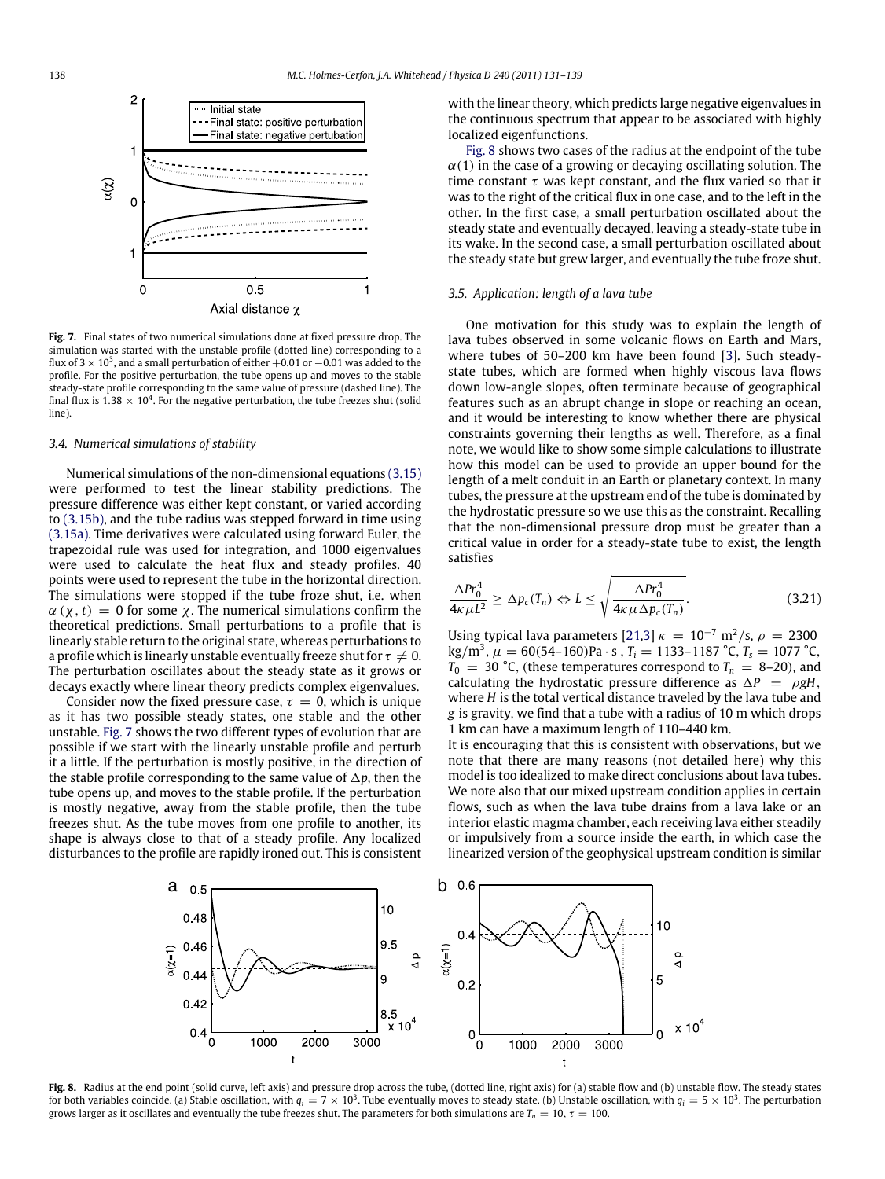<span id="page-7-2"></span>

**Fig. 7.** Final states of two numerical simulations done at fixed pressure drop. The simulation was started with the unstable profile (dotted line) corresponding to a flux of 3  $\times$  10<sup>3</sup>, and a small perturbation of either  $+0.01$  or  $-0.01$  was added to the profile. For the positive perturbation, the tube opens up and moves to the stable steady-state profile corresponding to the same value of pressure (dashed line). The final flux is 1.38  $\times$  10<sup>4</sup>. For the negative perturbation, the tube freezes shut (solid line).

#### <span id="page-7-0"></span>*3.4. Numerical simulations of stability*

Numerical simulations of the non-dimensional equations [\(3.15\)](#page-5-2) were performed to test the linear stability predictions. The pressure difference was either kept constant, or varied according to [\(3.15b\),](#page-5-3) and the tube radius was stepped forward in time using [\(3.15a\).](#page-5-4) Time derivatives were calculated using forward Euler, the trapezoidal rule was used for integration, and 1000 eigenvalues were used to calculate the heat flux and steady profiles. 40 points were used to represent the tube in the horizontal direction. The simulations were stopped if the tube froze shut, i.e. when  $\alpha$  ( $\chi$ ,  $t$ ) = 0 for some  $\chi$ . The numerical simulations confirm the theoretical predictions. Small perturbations to a profile that is linearly stable return to the original state, whereas perturbations to a profile which is linearly unstable eventually freeze shut for  $\tau \neq 0$ . The perturbation oscillates about the steady state as it grows or decays exactly where linear theory predicts complex eigenvalues.

Consider now the fixed pressure case,  $\tau = 0$ , which is unique as it has two possible steady states, one stable and the other unstable. [Fig. 7](#page-7-2) shows the two different types of evolution that are possible if we start with the linearly unstable profile and perturb it a little. If the perturbation is mostly positive, in the direction of the stable profile corresponding to the same value of  $\Delta p$ , then the tube opens up, and moves to the stable profile. If the perturbation is mostly negative, away from the stable profile, then the tube freezes shut. As the tube moves from one profile to another, its shape is always close to that of a steady profile. Any localized disturbances to the profile are rapidly ironed out. This is consistent with the linear theory, which predicts large negative eigenvalues in the continuous spectrum that appear to be associated with highly localized eigenfunctions.

[Fig. 8](#page-7-3) shows two cases of the radius at the endpoint of the tube  $\alpha(1)$  in the case of a growing or decaying oscillating solution. The time constant  $\tau$  was kept constant, and the flux varied so that it was to the right of the critical flux in one case, and to the left in the other. In the first case, a small perturbation oscillated about the steady state and eventually decayed, leaving a steady-state tube in its wake. In the second case, a small perturbation oscillated about the steady state but grew larger, and eventually the tube froze shut.

#### <span id="page-7-1"></span>*3.5. Application: length of a lava tube*

One motivation for this study was to explain the length of lava tubes observed in some volcanic flows on Earth and Mars, where tubes of 50–200 km have been found [\[3\]](#page-8-2). Such steadystate tubes, which are formed when highly viscous lava flows down low-angle slopes, often terminate because of geographical features such as an abrupt change in slope or reaching an ocean, and it would be interesting to know whether there are physical constraints governing their lengths as well. Therefore, as a final note, we would like to show some simple calculations to illustrate how this model can be used to provide an upper bound for the length of a melt conduit in an Earth or planetary context. In many tubes, the pressure at the upstream end of the tube is dominated by the hydrostatic pressure so we use this as the constraint. Recalling that the non-dimensional pressure drop must be greater than a critical value in order for a steady-state tube to exist, the length satisfies

$$
\frac{\Delta Pr_0^4}{4\kappa\mu L^2} \ge \Delta p_c(T_n) \Leftrightarrow L \le \sqrt{\frac{\Delta Pr_0^4}{4\kappa\mu \Delta p_c(T_n)}}.
$$
\n(3.21)

Using typical lava parameters [\[21](#page-8-15)[,3\]](#page-8-2)  $\kappa = 10^{-7}$  m<sup>2</sup>/s,  $\rho = 2300$  $\text{kg/m}^3$ ,  $\mu = 60(54-160) \text{Pa} \cdot \text{s}$ ,  $T_i = 1133-1187 \text{ °C}$ ,  $T_s = 1077 \text{ °C}$ ,  $T_0 = 30$  °C, (these temperatures correspond to  $T_n = 8$ –20), and calculating the hydrostatic pressure difference as  $\Delta P = \rho g H$ , where *H* is the total vertical distance traveled by the lava tube and *g* is gravity, we find that a tube with a radius of 10 m which drops 1 km can have a maximum length of 110–440 km.

It is encouraging that this is consistent with observations, but we note that there are many reasons (not detailed here) why this model is too idealized to make direct conclusions about lava tubes. We note also that our mixed upstream condition applies in certain flows, such as when the lava tube drains from a lava lake or an interior elastic magma chamber, each receiving lava either steadily or impulsively from a source inside the earth, in which case the linearized version of the geophysical upstream condition is similar

<span id="page-7-3"></span>

**Fig. 8.** Radius at the end point (solid curve, left axis) and pressure drop across the tube, (dotted line, right axis) for (a) stable flow and (b) unstable flow. The steady states for both variables coincide. (a) Stable oscillation, with  $q_i=7\times10^3$ . Tube eventually moves to steady state. (b) Unstable oscillation, with  $q_i=5\times10^3$ . The perturbation grows larger as it oscillates and eventually the tube freezes shut. The parameters for both simulations are  $T_n = 10$ ,  $\tau = 100$ .